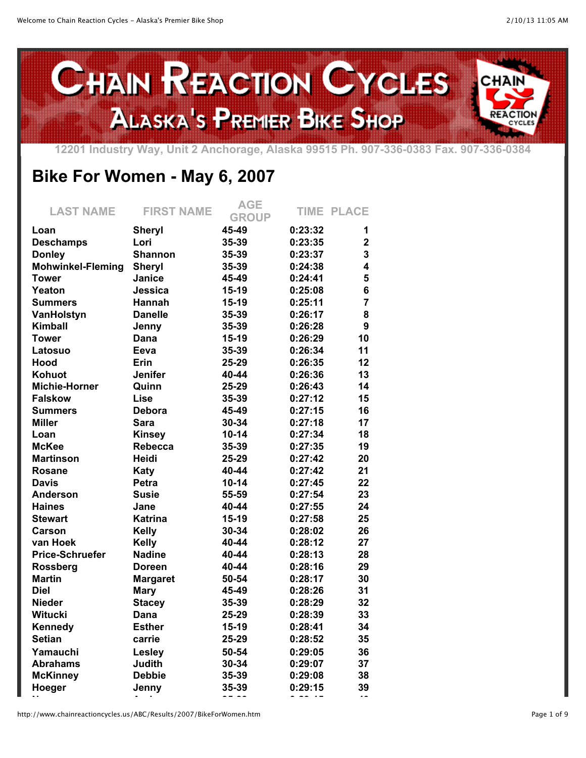

**12201 Industry Way, Unit 2 Anchorage, Alaska 99515 Ph. 907-336-0383 Fax. 907-336-0384**

## **Bike For Women - May 6, 2007**

| <b>LAST NAME</b>         | <b>FIRST NAME</b> | <b>AGE</b><br><b>GROUP</b> |         | <b>TIME PLACE</b>       |
|--------------------------|-------------------|----------------------------|---------|-------------------------|
| Loan                     | <b>Sheryl</b>     | 45-49                      | 0:23:32 | 1                       |
| <b>Deschamps</b>         | Lori              | 35-39                      | 0:23:35 | $\overline{\mathbf{2}}$ |
| <b>Donley</b>            | Shannon           | 35-39                      | 0:23:37 | 3                       |
| <b>Mohwinkel-Fleming</b> | <b>Sheryl</b>     | 35-39                      | 0:24:38 | 4                       |
| <b>Tower</b>             | Janice            | 45-49                      | 0:24:41 | 5                       |
| Yeaton                   | Jessica           | 15-19                      | 0:25:08 | 6                       |
| <b>Summers</b>           | Hannah            | 15-19                      | 0:25:11 | 7                       |
| VanHolstyn               | <b>Danelle</b>    | 35-39                      | 0:26:17 | 8                       |
| <b>Kimball</b>           | Jenny             | 35-39                      | 0:26:28 | 9                       |
| <b>Tower</b>             | Dana              | $15-19$                    | 0:26:29 | 10                      |
| Latosuo                  | Eeva              | 35-39                      | 0:26:34 | 11                      |
| Hood                     | Erin              | 25-29                      | 0:26:35 | 12                      |
| Kohuot                   | Jenifer           | 40-44                      | 0:26:36 | 13                      |
| Michie-Horner            | Quinn             | 25-29                      | 0:26:43 | 14                      |
| <b>Falskow</b>           | Lise              | 35-39                      | 0:27:12 | 15                      |
| <b>Summers</b>           | <b>Debora</b>     | 45-49                      | 0:27:15 | 16                      |
| <b>Miller</b>            | <b>Sara</b>       | 30-34                      | 0:27:18 | 17                      |
| Loan                     | <b>Kinsey</b>     | $10 - 14$                  | 0:27:34 | 18                      |
| <b>McKee</b>             | <b>Rebecca</b>    | 35-39                      | 0:27:35 | 19                      |
| <b>Martinson</b>         | Heidi             | 25-29                      | 0:27:42 | 20                      |
| <b>Rosane</b>            | Katy              | 40-44                      | 0:27:42 | 21                      |
| <b>Davis</b>             | <b>Petra</b>      | $10 - 14$                  | 0:27:45 | 22                      |
| <b>Anderson</b>          | <b>Susie</b>      | 55-59                      | 0:27:54 | 23                      |
| <b>Haines</b>            | Jane              | 40-44                      | 0:27:55 | 24                      |
| <b>Stewart</b>           | <b>Katrina</b>    | 15-19                      | 0:27:58 | 25                      |
| Carson                   | <b>Kelly</b>      | 30-34                      | 0:28:02 | 26                      |
| van Hoek                 | <b>Kelly</b>      | 40-44                      | 0:28:12 | 27                      |
| <b>Price-Schruefer</b>   | <b>Nadine</b>     | 40-44                      | 0:28:13 | 28                      |
| <b>Rossberg</b>          | <b>Doreen</b>     | 40-44                      | 0:28:16 | 29                      |
| <b>Martin</b>            | <b>Margaret</b>   | 50-54                      | 0:28:17 | 30                      |
| <b>Diel</b>              | <b>Mary</b>       | 45-49                      | 0:28:26 | 31                      |
| <b>Nieder</b>            | <b>Stacey</b>     | 35-39                      | 0:28:29 | 32                      |
| <b>Witucki</b>           | Dana              | 25-29                      | 0:28:39 | 33                      |
| Kennedy                  | <b>Esther</b>     | 15-19                      | 0:28:41 | 34                      |
| <b>Setian</b>            | carrie            | 25-29                      | 0:28:52 | 35                      |
| Yamauchi                 | <b>Lesley</b>     | 50-54                      | 0:29:05 | 36                      |
| <b>Abrahams</b>          | Judith            | 30-34                      | 0:29:07 | 37                      |
| <b>McKinney</b>          | <b>Debbie</b>     | 35-39                      | 0:29:08 | 38                      |
| Hoeger                   | Jenny             | 35-39                      | 0:29:15 | 39<br>- -               |
|                          |                   |                            |         |                         |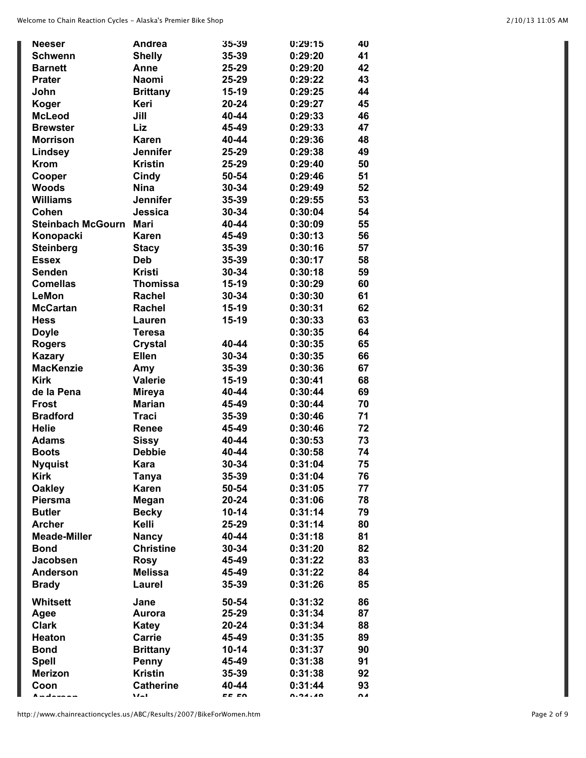| <b>Neeser</b>                 | Andrea                           | 35-39          | 0:29:15            | 40       |
|-------------------------------|----------------------------------|----------------|--------------------|----------|
| <b>Schwenn</b>                | <b>Shelly</b>                    | 35-39          | 0:29:20            | 41       |
| <b>Barnett</b>                | Anne                             | 25-29          | 0:29:20            | 42       |
| <b>Prater</b>                 | <b>Naomi</b>                     | 25-29          | 0:29:22            | 43       |
| John                          | <b>Brittany</b>                  | $15-19$        | 0:29:25            | 44       |
| <b>Koger</b>                  | Keri                             | 20-24          | 0:29:27            | 45       |
| <b>McLeod</b>                 | Jill                             | 40-44          | 0:29:33            | 46       |
| <b>Brewster</b>               | Liz                              | 45-49          | 0:29:33            | 47       |
| <b>Morrison</b>               | <b>Karen</b>                     | 40-44          | 0:29:36            | 48       |
| <b>Lindsey</b>                | <b>Jennifer</b>                  | 25-29          | 0:29:38            | 49       |
| <b>Krom</b>                   | <b>Kristin</b>                   | 25-29          | 0:29:40            | 50       |
| Cooper                        | Cindy                            | 50-54          | 0:29:46            | 51       |
| <b>Woods</b>                  | <b>Nina</b>                      | 30-34          | 0:29:49            | 52       |
| <b>Williams</b>               | <b>Jennifer</b>                  | 35-39          | 0:29:55            | 53       |
| Cohen                         | Jessica                          | 30-34          | 0:30:04            | 54       |
| <b>Steinbach McGourn</b>      | <b>Mari</b>                      | 40-44          | 0:30:09            | 55       |
| Konopacki                     | <b>Karen</b>                     | 45-49          | 0:30:13            | 56       |
| <b>Steinberg</b>              | <b>Stacy</b>                     | 35-39          | 0:30:16            | 57       |
| <b>Essex</b>                  | <b>Deb</b>                       | 35-39          | 0:30:17            | 58       |
| <b>Senden</b>                 | <b>Kristi</b>                    | 30-34          | 0:30:18            | 59       |
| <b>Comellas</b>               | <b>Thomissa</b>                  | $15-19$        | 0:30:29            | 60       |
| LeMon                         | <b>Rachel</b>                    | 30-34          | 0:30:30            | 61       |
| <b>McCartan</b>               | Rachel                           | 15-19          | 0:30:31            | 62       |
| <b>Hess</b>                   | Lauren                           | 15-19          | 0:30:33            | 63       |
| <b>Doyle</b>                  | Teresa                           |                | 0:30:35            | 64       |
| <b>Rogers</b>                 | <b>Crystal</b>                   | 40-44          | 0:30:35            | 65       |
| <b>Kazary</b>                 | <b>Ellen</b>                     | 30-34          | 0:30:35            | 66       |
| <b>MacKenzie</b>              | Amy                              | 35-39          | 0:30:36            | 67       |
| <b>Kirk</b>                   | <b>Valerie</b>                   | 15-19          | 0:30:41            | 68       |
| de la Pena                    | <b>Mireya</b>                    | 40-44          | 0:30:44            | 69       |
| <b>Frost</b>                  | <b>Marian</b>                    | 45-49          | 0:30:44            | 70       |
| <b>Bradford</b>               | <b>Traci</b>                     | 35-39          | 0:30:46            | 71       |
| <b>Helie</b>                  | Renee                            | 45-49          | 0:30:46            | 72       |
| <b>Adams</b>                  | <b>Sissy</b>                     | 40-44          | 0:30:53            | 73       |
| <b>Boots</b>                  | <b>Debbie</b>                    | 40-44          | 0:30:58            | 74       |
|                               | Kara                             | 30-34          | 0:31:04            | 75       |
| <b>Nyquist</b><br><b>Kirk</b> | Tanya                            | 35-39          | 0:31:04            | 76       |
| <b>Oakley</b>                 | <b>Karen</b>                     | 50-54          | 0:31:05            | 77       |
| <b>Piersma</b>                |                                  | 20-24          | 0:31:06            | 78       |
| <b>Butler</b>                 | Megan<br><b>Becky</b>            | $10 - 14$      | 0:31:14            | 79       |
| <b>Archer</b>                 | Kelli                            | 25-29          |                    | 80       |
| <b>Meade-Miller</b>           |                                  | 40-44          | 0:31:14<br>0:31:18 | 81       |
| <b>Bond</b>                   | <b>Nancy</b><br><b>Christine</b> | 30-34          | 0:31:20            | 82       |
| <b>Jacobsen</b>               |                                  | 45-49          | 0:31:22            | 83       |
|                               | <b>Rosy</b><br><b>Melissa</b>    |                |                    |          |
| <b>Anderson</b>               | <b>Laurel</b>                    | 45-49<br>35-39 | 0:31:22<br>0:31:26 | 84<br>85 |
| <b>Brady</b>                  |                                  |                |                    |          |
| <b>Whitsett</b>               | Jane                             | 50-54          | 0:31:32            | 86       |
| Agee                          | Aurora                           | 25-29          | 0:31:34            | 87       |
| <b>Clark</b>                  | <b>Katey</b>                     | 20-24          | 0:31:34            | 88       |
| <b>Heaton</b>                 | Carrie                           | 45-49          | 0:31:35            | 89       |
| <b>Bond</b>                   | <b>Brittany</b>                  | $10 - 14$      | 0:31:37            | 90       |
| <b>Spell</b>                  | Penny                            | 45-49          | 0:31:38            | 91       |
| <b>Merizon</b>                | <b>Kristin</b>                   | 35-39          | 0:31:38            | 92       |
| Coon                          | <b>Catherine</b>                 | 40-44          | 0:31:44            | 93       |
| Andruann                      | $\mathbf{V}$                     | EE EN          | 0.04.40            | Ωđ       |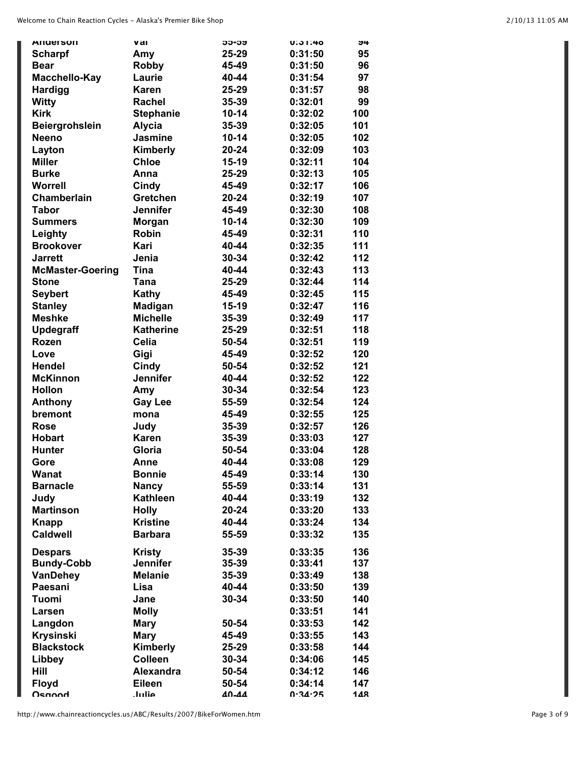| <b>Anderson</b>         | Väl              | ວວ-ວອ     | <b>U.31.40</b> | <b>IJ4</b> |
|-------------------------|------------------|-----------|----------------|------------|
| <b>Scharpf</b>          | Amy              | 25-29     | 0:31:50        | 95         |
| <b>Bear</b>             | <b>Robby</b>     | 45-49     | 0:31:50        | 96         |
| Macchello-Kay           | Laurie           | 40-44     | 0:31:54        | 97         |
| <b>Hardigg</b>          | <b>Karen</b>     | 25-29     | 0:31:57        | 98         |
| Witty                   | Rachel           | 35-39     | 0:32:01        | 99         |
| <b>Kirk</b>             | <b>Stephanie</b> | $10 - 14$ | 0:32:02        | 100        |
| <b>Beiergrohslein</b>   | <b>Alycia</b>    | 35-39     | 0:32:05        | 101        |
| <b>Neeno</b>            | <b>Jasmine</b>   | $10 - 14$ | 0:32:05        | 102        |
| Layton                  | Kimberly         | 20-24     | 0:32:09        | 103        |
| <b>Miller</b>           | <b>Chloe</b>     | 15-19     | 0:32:11        | 104        |
| <b>Burke</b>            | Anna             | 25-29     | 0:32:13        | 105        |
| Worrell                 | Cindy            | 45-49     | 0:32:17        | 106        |
| Chamberlain             | <b>Gretchen</b>  | 20-24     | 0:32:19        | 107        |
| <b>Tabor</b>            | <b>Jennifer</b>  | 45-49     | 0:32:30        | 108        |
| <b>Summers</b>          | Morgan           | $10 - 14$ | 0:32:30        | 109        |
| Leighty                 | <b>Robin</b>     | 45-49     | 0:32:31        | 110        |
| <b>Brookover</b>        | Kari             | 40-44     | 0:32:35        | 111        |
| <b>Jarrett</b>          | Jenia            | 30-34     | 0:32:42        | 112        |
| <b>McMaster-Goering</b> | <b>Tina</b>      | 40-44     | 0:32:43        | 113        |
| <b>Stone</b>            | <b>Tana</b>      | 25-29     | 0:32:44        | 114        |
| <b>Seybert</b>          | <b>Kathy</b>     | 45-49     | 0:32:45        | 115        |
| <b>Stanley</b>          | <b>Madigan</b>   | 15-19     | 0:32:47        | 116        |
| <b>Meshke</b>           | <b>Michelle</b>  | 35-39     | 0:32:49        | 117        |
| <b>Updegraff</b>        | <b>Katherine</b> | 25-29     | 0:32:51        | 118        |
| Rozen                   | Celia            | 50-54     | 0:32:51        | 119        |
| Love                    | Gigi             | 45-49     | 0:32:52        | 120        |
| <b>Hendel</b>           | Cindy            | 50-54     | 0:32:52        | 121        |
| <b>McKinnon</b>         | <b>Jennifer</b>  | 40-44     | 0:32:52        | 122        |
| <b>Hollon</b>           | Amy              | 30-34     | 0:32:54        | 123        |
| Anthony                 | <b>Gay Lee</b>   | 55-59     | 0:32:54        | 124        |
| bremont                 | mona             | 45-49     | 0:32:55        | 125        |
| <b>Rose</b>             | Judy             | 35-39     | 0:32:57        | 126        |
| <b>Hobart</b>           | <b>Karen</b>     | 35-39     | 0:33:03        | 127        |
| <b>Hunter</b>           | Gloria           | 50-54     | 0:33:04        | 128        |
| Gore                    | Anne             | 40-44     | 0:33:08        | 129        |
| <b>Wanat</b>            | <b>Bonnie</b>    | 45-49     | 0:33:14        | 130        |
| <b>Barnacle</b>         | <b>Nancy</b>     | 55-59     | 0:33:14        | 131        |
| Judy                    | <b>Kathleen</b>  | 40-44     | 0:33:19        | 132        |
| <b>Martinson</b>        | <b>Holly</b>     | 20-24     | 0:33:20        | 133        |
| <b>Knapp</b>            | <b>Kristine</b>  | 40-44     | 0:33:24        | 134        |
| <b>Caldwell</b>         | <b>Barbara</b>   | 55-59     | 0:33:32        | 135        |
|                         |                  |           |                |            |
| <b>Despars</b>          | <b>Kristy</b>    | 35-39     | 0:33:35        | 136        |
| <b>Bundy-Cobb</b>       | <b>Jennifer</b>  | 35-39     | 0:33:41        | 137        |
| <b>VanDehey</b>         | <b>Melanie</b>   | 35-39     | 0:33:49        | 138        |
| Paesani                 | Lisa             | 40-44     | 0:33:50        | 139        |
| Tuomi                   | Jane             | 30-34     | 0:33:50        | 140        |
| Larsen                  | <b>Molly</b>     |           | 0:33:51        | 141        |
| Langdon                 | <b>Mary</b>      | 50-54     | 0:33:53        | 142        |
| <b>Krysinski</b>        | <b>Mary</b>      | 45-49     | 0:33:55        | 143        |
| <b>Blackstock</b>       | Kimberly         | 25-29     | 0:33:58        | 144        |
| Libbey                  | <b>Colleen</b>   | 30-34     | 0:34:06        | 145        |
| Hill                    | <b>Alexandra</b> | 50-54     | 0:34:12        | 146        |
| <b>Floyd</b>            | Eileen           | 50-54     | 0:34:14        | 147        |
| hoon2O                  | منابيل           | 40-44     | 0.34.25        | 14R        |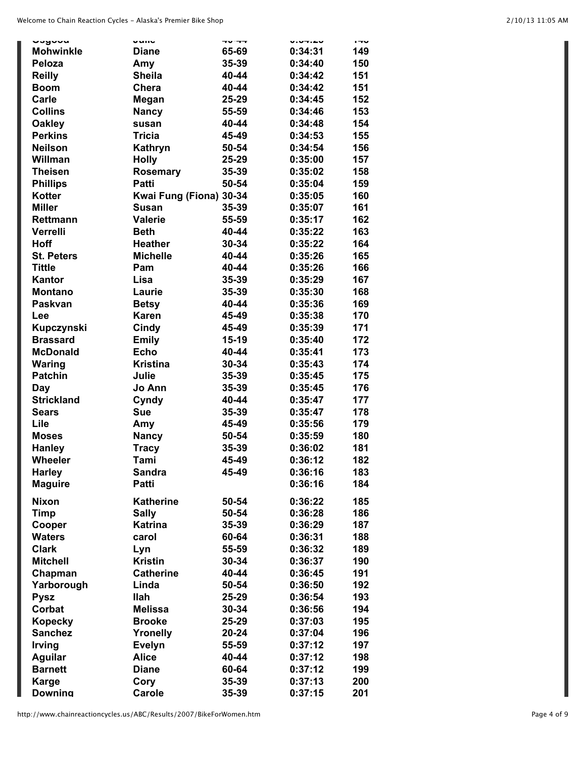| wuyuuu            | vunv                          | <b>TV-TT</b> | $v \cdot v + \cdot v$ | i TV |
|-------------------|-------------------------------|--------------|-----------------------|------|
| <b>Mohwinkle</b>  | <b>Diane</b>                  | 65-69        | 0:34:31               | 149  |
| Peloza            | Amy                           | 35-39        | 0:34:40               | 150  |
| <b>Reilly</b>     | <b>Sheila</b>                 | 40-44        | 0:34:42               | 151  |
| <b>Boom</b>       | Chera                         | 40-44        | 0:34:42               | 151  |
| <b>Carle</b>      | Megan                         | 25-29        | 0:34:45               | 152  |
| <b>Collins</b>    | <b>Nancy</b>                  | 55-59        | 0:34:46               | 153  |
| <b>Oakley</b>     | susan                         | 40-44        | 0:34:48               | 154  |
| <b>Perkins</b>    | <b>Tricia</b>                 | 45-49        | 0:34:53               | 155  |
| <b>Neilson</b>    | Kathryn                       | 50-54        | 0:34:54               | 156  |
| Willman           | <b>Holly</b>                  | 25-29        | 0:35:00               | 157  |
| <b>Theisen</b>    | <b>Rosemary</b>               | 35-39        | 0:35:02               | 158  |
| <b>Phillips</b>   | <b>Patti</b>                  | 50-54        | 0:35:04               | 159  |
| <b>Kotter</b>     | Kwai Fung (Fiona) 30-34       |              | 0:35:05               | 160  |
| <b>Miller</b>     | <b>Susan</b>                  | 35-39        | 0:35:07               | 161  |
|                   |                               |              |                       |      |
| <b>Rettmann</b>   | <b>Valerie</b><br><b>Beth</b> | 55-59        | 0:35:17               | 162  |
| Verrelli          |                               | 40-44        | 0:35:22               | 163  |
| <b>Hoff</b>       | <b>Heather</b>                | 30-34        | 0:35:22               | 164  |
| <b>St. Peters</b> | <b>Michelle</b>               | 40-44        | 0:35:26               | 165  |
| <b>Tittle</b>     | Pam                           | 40-44        | 0:35:26               | 166  |
| Kantor            | Lisa                          | 35-39        | 0:35:29               | 167  |
| <b>Montano</b>    | Laurie                        | 35-39        | 0:35:30               | 168  |
| <b>Paskvan</b>    | <b>Betsy</b>                  | 40-44        | 0:35:36               | 169  |
| Lee               | <b>Karen</b>                  | 45-49        | 0:35:38               | 170  |
| Kupczynski        | Cindy                         | 45-49        | 0:35:39               | 171  |
| <b>Brassard</b>   | <b>Emily</b>                  | $15-19$      | 0:35:40               | 172  |
| <b>McDonald</b>   | <b>Echo</b>                   | 40-44        | 0:35:41               | 173  |
| <b>Waring</b>     | <b>Kristina</b>               | 30-34        | 0:35:43               | 174  |
| <b>Patchin</b>    | Julie                         | 35-39        | 0:35:45               | 175  |
| Day               | Jo Ann                        | 35-39        | 0:35:45               | 176  |
| <b>Strickland</b> | Cyndy                         | 40-44        | 0:35:47               | 177  |
| <b>Sears</b>      | <b>Sue</b>                    | 35-39        | 0:35:47               | 178  |
| Lile              | Amy                           | 45-49        | 0:35:56               | 179  |
| <b>Moses</b>      | <b>Nancy</b>                  | 50-54        | 0:35:59               | 180  |
| Hanley            | <b>Tracy</b>                  | 35-39        | 0:36:02               | 181  |
| Wheeler           | Tami                          | 45-49        | 0:36:12               | 182  |
| <b>Harley</b>     | <b>Sandra</b>                 | 45-49        | 0:36:16               | 183  |
| <b>Maguire</b>    | <b>Patti</b>                  |              | 0:36:16               | 184  |
| <b>Nixon</b>      | <b>Katherine</b>              | 50-54        | 0:36:22               | 185  |
| <b>Timp</b>       | <b>Sally</b>                  | 50-54        | 0:36:28               | 186  |
| Cooper            | <b>Katrina</b>                | 35-39        | 0:36:29               | 187  |
| <b>Waters</b>     | carol                         | 60-64        | 0:36:31               | 188  |
| <b>Clark</b>      | Lyn                           | 55-59        | 0:36:32               | 189  |
| <b>Mitchell</b>   | <b>Kristin</b>                | 30-34        | 0:36:37               | 190  |
| Chapman           | <b>Catherine</b>              | 40-44        | 0:36:45               | 191  |
| Yarborough        | Linda                         | 50-54        | 0:36:50               | 192  |
| <b>Pysz</b>       | <b>Ilah</b>                   | 25-29        | 0:36:54               | 193  |
| <b>Corbat</b>     | <b>Melissa</b>                | 30-34        | 0:36:56               | 194  |
| <b>Kopecky</b>    | <b>Brooke</b>                 | 25-29        | 0:37:03               | 195  |
| <b>Sanchez</b>    | Yronelly                      | 20-24        | 0:37:04               | 196  |
| <b>Irving</b>     | <b>Evelyn</b>                 | 55-59        | 0:37:12               | 197  |
| <b>Aguilar</b>    | <b>Alice</b>                  | 40-44        | 0:37:12               | 198  |
| <b>Barnett</b>    | <b>Diane</b>                  | 60-64        | 0:37:12               | 199  |
| <b>Karge</b>      | Cory                          | 35-39        | 0:37:13               | 200  |
| <b>Downing</b>    | Carole                        | 35-39        | 0:37:15               | 201  |
|                   |                               |              |                       |      |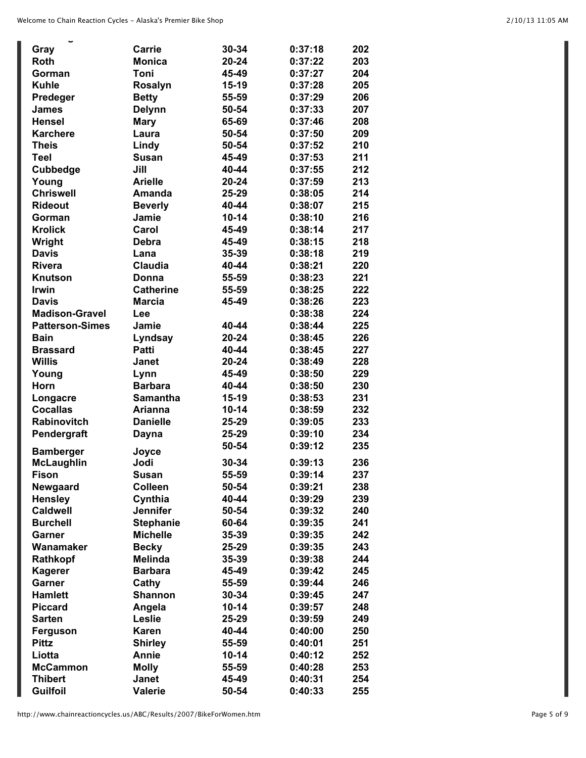| v<br>Gray              | Carrie           | 30-34     | 0:37:18 | 202 |
|------------------------|------------------|-----------|---------|-----|
| <b>Roth</b>            | <b>Monica</b>    | 20-24     | 0:37:22 | 203 |
| Gorman                 | Toni             | 45-49     | 0:37:27 | 204 |
| <b>Kuhle</b>           | <b>Rosalyn</b>   | 15-19     | 0:37:28 | 205 |
| Predeger               | <b>Betty</b>     | 55-59     | 0:37:29 | 206 |
| James                  | <b>Delynn</b>    | 50-54     | 0:37:33 | 207 |
| <b>Hensel</b>          | <b>Mary</b>      | 65-69     | 0:37:46 | 208 |
| <b>Karchere</b>        | Laura            | 50-54     | 0:37:50 | 209 |
| <b>Theis</b>           | Lindy            | 50-54     | 0:37:52 | 210 |
| <b>Teel</b>            | <b>Susan</b>     | 45-49     | 0:37:53 | 211 |
| <b>Cubbedge</b>        | Jill             | 40-44     | 0:37:55 | 212 |
| Young                  | <b>Arielle</b>   | 20-24     | 0:37:59 | 213 |
| <b>Chriswell</b>       | Amanda           | 25-29     | 0:38:05 | 214 |
| <b>Rideout</b>         | <b>Beverly</b>   | 40-44     | 0:38:07 | 215 |
| Gorman                 | Jamie            | $10 - 14$ | 0:38:10 | 216 |
| <b>Krolick</b>         | Carol            | 45-49     | 0:38:14 | 217 |
| Wright                 | <b>Debra</b>     | 45-49     | 0:38:15 | 218 |
| <b>Davis</b>           | Lana             | 35-39     | 0:38:18 | 219 |
| <b>Rivera</b>          | Claudia          | 40-44     | 0:38:21 | 220 |
| Knutson                | Donna            | 55-59     | 0:38:23 | 221 |
| <b>Irwin</b>           | <b>Catherine</b> | 55-59     | 0:38:25 | 222 |
| <b>Davis</b>           | <b>Marcia</b>    | 45-49     | 0:38:26 | 223 |
| <b>Madison-Gravel</b>  | Lee              |           | 0:38:38 | 224 |
| <b>Patterson-Simes</b> | Jamie            | 40-44     | 0:38:44 | 225 |
| <b>Bain</b>            | Lyndsay          | 20-24     | 0:38:45 | 226 |
| <b>Brassard</b>        | <b>Patti</b>     | 40-44     | 0:38:45 | 227 |
| <b>Willis</b>          | Janet            | 20-24     | 0:38:49 | 228 |
| Young                  | Lynn             | 45-49     | 0:38:50 | 229 |
| Horn                   | <b>Barbara</b>   | 40-44     | 0:38:50 | 230 |
| Longacre               | <b>Samantha</b>  | 15-19     | 0:38:53 | 231 |
| <b>Cocallas</b>        | Arianna          | $10 - 14$ | 0:38:59 | 232 |
| <b>Rabinovitch</b>     | <b>Danielle</b>  | 25-29     | 0:39:05 | 233 |
| Pendergraft            | Dayna            | 25-29     | 0:39:10 | 234 |
|                        |                  | 50-54     | 0:39:12 | 235 |
| <b>Bamberger</b>       | Joyce            |           |         |     |
| <b>McLaughlin</b>      | Jodi             | 30-34     | 0:39:13 | 236 |
| <b>Fison</b>           | <b>Susan</b>     | 55-59     | 0:39:14 | 237 |
| Newgaard               | Colleen          | 50-54     | 0:39:21 | 238 |
| <b>Hensley</b>         | Cynthia          | 40-44     | 0:39:29 | 239 |
| <b>Caldwell</b>        | Jennifer         | 50-54     | 0:39:32 | 240 |
| <b>Burchell</b>        | <b>Stephanie</b> | 60-64     | 0:39:35 | 241 |
| Garner                 | <b>Michelle</b>  | 35-39     | 0:39:35 | 242 |
| Wanamaker              | <b>Becky</b>     | 25-29     | 0:39:35 | 243 |
| Rathkopf               | <b>Melinda</b>   | 35-39     | 0:39:38 | 244 |
| <b>Kagerer</b>         | <b>Barbara</b>   | 45-49     | 0:39:42 | 245 |
| Garner                 | Cathy            | 55-59     | 0:39:44 | 246 |
| <b>Hamlett</b>         | Shannon          | 30-34     | 0:39:45 | 247 |
| <b>Piccard</b>         | Angela           | $10 - 14$ | 0:39:57 | 248 |
| <b>Sarten</b>          | Leslie           | 25-29     | 0:39:59 | 249 |
| Ferguson               | <b>Karen</b>     | 40-44     | 0:40:00 | 250 |
| <b>Pittz</b>           | <b>Shirley</b>   | 55-59     | 0:40:01 | 251 |
| Liotta                 | <b>Annie</b>     | $10 - 14$ | 0:40:12 | 252 |
| <b>McCammon</b>        | <b>Molly</b>     | 55-59     | 0:40:28 | 253 |
| <b>Thibert</b>         | <b>Janet</b>     | 45-49     | 0:40:31 | 254 |
| <b>Guilfoil</b>        | Valerie          | 50-54     | 0:40:33 | 255 |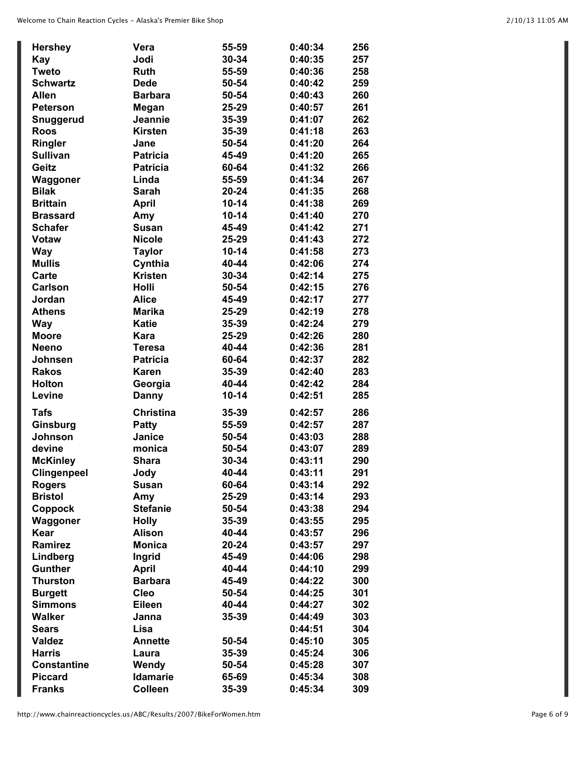| <b>Hershey</b>     | Vera             | 55-59     | 0:40:34 | 256 |
|--------------------|------------------|-----------|---------|-----|
| Kay                | Jodi             | 30-34     | 0:40:35 | 257 |
| <b>Tweto</b>       | <b>Ruth</b>      | 55-59     | 0:40:36 | 258 |
| <b>Schwartz</b>    | <b>Dede</b>      | 50-54     | 0:40:42 | 259 |
| <b>Allen</b>       | <b>Barbara</b>   | 50-54     | 0:40:43 | 260 |
| <b>Peterson</b>    | Megan            | 25-29     | 0:40:57 | 261 |
| Snuggerud          | Jeannie          | 35-39     | 0:41:07 | 262 |
| <b>Roos</b>        | <b>Kirsten</b>   | 35-39     | 0:41:18 | 263 |
| Ringler            | Jane             | 50-54     | 0:41:20 | 264 |
| <b>Sullivan</b>    | <b>Patricia</b>  | 45-49     | 0:41:20 | 265 |
| Geitz              | <b>Patricia</b>  | 60-64     | 0:41:32 | 266 |
| Waggoner           | Linda            | 55-59     | 0:41:34 | 267 |
| <b>Bilak</b>       | <b>Sarah</b>     | 20-24     | 0:41:35 | 268 |
| <b>Brittain</b>    | <b>April</b>     | $10 - 14$ | 0:41:38 | 269 |
| <b>Brassard</b>    | Amy              | $10 - 14$ | 0:41:40 | 270 |
| <b>Schafer</b>     | <b>Susan</b>     | 45-49     | 0:41:42 | 271 |
| <b>Votaw</b>       | <b>Nicole</b>    | 25-29     | 0:41:43 | 272 |
| <b>Way</b>         | <b>Taylor</b>    | $10 - 14$ | 0:41:58 | 273 |
| <b>Mullis</b>      | Cynthia          | 40-44     | 0:42:06 | 274 |
| Carte              | <b>Kristen</b>   | 30-34     | 0:42:14 | 275 |
| <b>Carlson</b>     | <b>Holli</b>     | 50-54     | 0:42:15 | 276 |
| Jordan             | <b>Alice</b>     | 45-49     | 0:42:17 | 277 |
| <b>Athens</b>      | <b>Marika</b>    | 25-29     | 0:42:19 | 278 |
| <b>Way</b>         | <b>Katie</b>     | 35-39     | 0:42:24 | 279 |
| <b>Moore</b>       | Kara             | 25-29     | 0:42:26 | 280 |
| <b>Neeno</b>       | Teresa           | 40-44     | 0:42:36 | 281 |
| Johnsen            | <b>Patricia</b>  | 60-64     | 0:42:37 | 282 |
| <b>Rakos</b>       | <b>Karen</b>     | 35-39     | 0:42:40 | 283 |
| <b>Holton</b>      | Georgia          | 40-44     | 0:42:42 | 284 |
| Levine             | Danny            | $10 - 14$ | 0:42:51 | 285 |
|                    |                  |           |         |     |
| <b>Tafs</b>        | <b>Christina</b> | 35-39     | 0:42:57 | 286 |
| Ginsburg           | <b>Patty</b>     | 55-59     | 0:42:57 | 287 |
| <b>Johnson</b>     | Janice           | 50-54     | 0:43:03 | 288 |
| devine             | monica           | 50-54     | 0:43:07 | 289 |
| <b>McKinley</b>    | <b>Shara</b>     | 30-34     | 0:43:11 | 290 |
| <b>Clingenpeel</b> | Jody             | 40-44     | 0:43:11 | 291 |
| <b>Rogers</b>      | Susan            | 60-64     | 0:43:14 | 292 |
| <b>Bristol</b>     | Amy              | 25-29     | 0:43:14 | 293 |
| Coppock            | <b>Stefanie</b>  | 50-54     | 0:43:38 | 294 |
| Waggoner           | <b>Holly</b>     | 35-39     | 0:43:55 | 295 |
| Kear               | <b>Alison</b>    | 40-44     | 0:43:57 | 296 |
| <b>Ramirez</b>     | <b>Monica</b>    | 20-24     | 0:43:57 | 297 |
| Lindberg           | Ingrid           | 45-49     | 0:44:06 | 298 |
| <b>Gunther</b>     | <b>April</b>     | 40-44     | 0:44:10 | 299 |
| <b>Thurston</b>    | <b>Barbara</b>   | 45-49     | 0:44:22 | 300 |
| <b>Burgett</b>     | <b>Cleo</b>      | 50-54     | 0:44:25 | 301 |
| <b>Simmons</b>     | Eileen           | 40-44     | 0:44:27 | 302 |
| <b>Walker</b>      | Janna            | 35-39     | 0:44:49 | 303 |
| <b>Sears</b>       | Lisa             |           | 0:44:51 | 304 |
| <b>Valdez</b>      | <b>Annette</b>   | 50-54     | 0:45:10 | 305 |
| <b>Harris</b>      | Laura            | 35-39     | 0:45:24 | 306 |
| <b>Constantine</b> | Wendy            | 50-54     | 0:45:28 | 307 |
| <b>Piccard</b>     | <b>Idamarie</b>  | 65-69     | 0:45:34 | 308 |
| <b>Franks</b>      | <b>Colleen</b>   | 35-39     | 0:45:34 | 309 |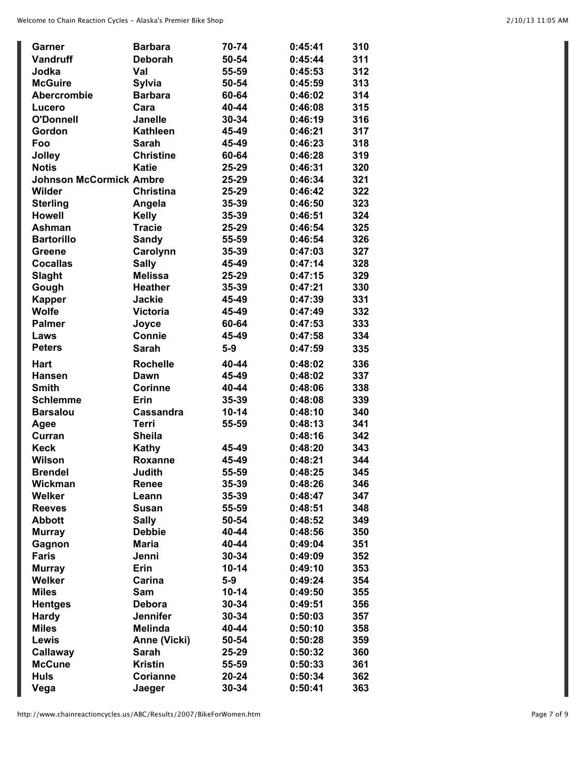| Garner                         | <b>Barbara</b>   | 70-74     | 0:45:41 | 310 |
|--------------------------------|------------------|-----------|---------|-----|
| <b>Vandruff</b>                | <b>Deborah</b>   | 50-54     | 0:45:44 | 311 |
| Jodka                          | Val              | 55-59     | 0:45:53 | 312 |
| <b>McGuire</b>                 | <b>Sylvia</b>    | 50-54     | 0:45:59 | 313 |
| <b>Abercrombie</b>             | <b>Barbara</b>   | 60-64     | 0:46:02 | 314 |
| Lucero                         | Cara             | 40-44     | 0:46:08 | 315 |
| O'Donnell                      | <b>Janelle</b>   | 30-34     | 0:46:19 | 316 |
| Gordon                         | <b>Kathleen</b>  | 45-49     | 0:46:21 | 317 |
| Foo                            | <b>Sarah</b>     | 45-49     | 0:46:23 | 318 |
| Jolley                         | <b>Christine</b> | 60-64     | 0:46:28 | 319 |
| <b>Notis</b>                   | <b>Katie</b>     | 25-29     | 0:46:31 | 320 |
| <b>Johnson McCormick Ambre</b> |                  | 25-29     | 0:46:34 | 321 |
| <b>Wilder</b>                  | <b>Christina</b> | 25-29     | 0:46:42 | 322 |
| <b>Sterling</b>                | Angela           | 35-39     | 0:46:50 | 323 |
| <b>Howell</b>                  | <b>Kelly</b>     | 35-39     | 0:46:51 | 324 |
| Ashman                         | <b>Tracie</b>    | 25-29     | 0:46:54 | 325 |
| <b>Bartorillo</b>              | <b>Sandy</b>     | 55-59     | 0:46:54 | 326 |
| <b>Greene</b>                  | Carolynn         | 35-39     | 0:47:03 | 327 |
| <b>Cocallas</b>                | <b>Sally</b>     | 45-49     | 0:47:14 | 328 |
| <b>Slaght</b>                  | <b>Melissa</b>   | 25-29     | 0:47:15 | 329 |
| Gough                          | <b>Heather</b>   | 35-39     | 0:47:21 | 330 |
| <b>Kapper</b>                  | <b>Jackie</b>    | 45-49     | 0:47:39 | 331 |
| <b>Wolfe</b>                   | <b>Victoria</b>  | 45-49     | 0:47:49 | 332 |
| <b>Palmer</b>                  | Joyce            | 60-64     | 0:47:53 | 333 |
| Laws                           | Connie           | 45-49     | 0:47:58 | 334 |
| <b>Peters</b>                  | <b>Sarah</b>     | $5-9$     | 0:47:59 | 335 |
| Hart                           | <b>Rochelle</b>  | 40-44     | 0:48:02 | 336 |
| <b>Hansen</b>                  | Dawn             | 45-49     | 0:48:02 | 337 |
| <b>Smith</b>                   | <b>Corinne</b>   | 40-44     | 0:48:06 | 338 |
| <b>Schlemme</b>                | Erin             | 35-39     | 0:48:08 | 339 |
| <b>Barsalou</b>                | Cassandra        | $10 - 14$ | 0:48:10 | 340 |
| Agee                           | <b>Terri</b>     | 55-59     | 0:48:13 | 341 |
| Curran                         | <b>Sheila</b>    |           | 0:48:16 | 342 |
| <b>Keck</b>                    | <b>Kathy</b>     | 45-49     | 0:48:20 | 343 |
| <b>Wilson</b>                  | <b>Roxanne</b>   | 45-49     | 0:48:21 | 344 |
| <b>Brendel</b>                 | <b>Judith</b>    | 55-59     | 0:48:25 | 345 |
| Wickman                        | Renee            | 35-39     | 0:48:26 | 346 |
| Welker                         | Leann            | 35-39     | 0:48:47 | 347 |
| <b>Reeves</b>                  | <b>Susan</b>     | 55-59     | 0:48:51 | 348 |
| <b>Abbott</b>                  | <b>Sally</b>     | 50-54     | 0:48:52 | 349 |
| <b>Murray</b>                  | <b>Debbie</b>    | 40-44     | 0:48:56 | 350 |
| Gagnon                         | <b>Maria</b>     | 40-44     | 0:49:04 | 351 |
| <b>Faris</b>                   | Jenni            | 30-34     | 0:49:09 | 352 |
| <b>Murray</b>                  | Erin             | $10 - 14$ | 0:49:10 | 353 |
| Welker                         | Carina           | $5-9$     | 0:49:24 | 354 |
| <b>Miles</b>                   | Sam              | $10 - 14$ | 0:49:50 | 355 |
| <b>Hentges</b>                 | <b>Debora</b>    | 30-34     | 0:49:51 | 356 |
| <b>Hardy</b>                   | <b>Jennifer</b>  | 30-34     | 0:50:03 | 357 |
| <b>Miles</b>                   | <b>Melinda</b>   | 40-44     | 0:50:10 | 358 |
| Lewis                          | Anne (Vicki)     | 50-54     | 0:50:28 | 359 |
| <b>Callaway</b>                | <b>Sarah</b>     | 25-29     | 0:50:32 | 360 |
| <b>McCune</b>                  | <b>Kristin</b>   | 55-59     | 0:50:33 | 361 |
| <b>Huls</b>                    | Corianne         | 20-24     | 0:50:34 | 362 |
| Vega                           | Jaeger           | 30-34     | 0:50:41 | 363 |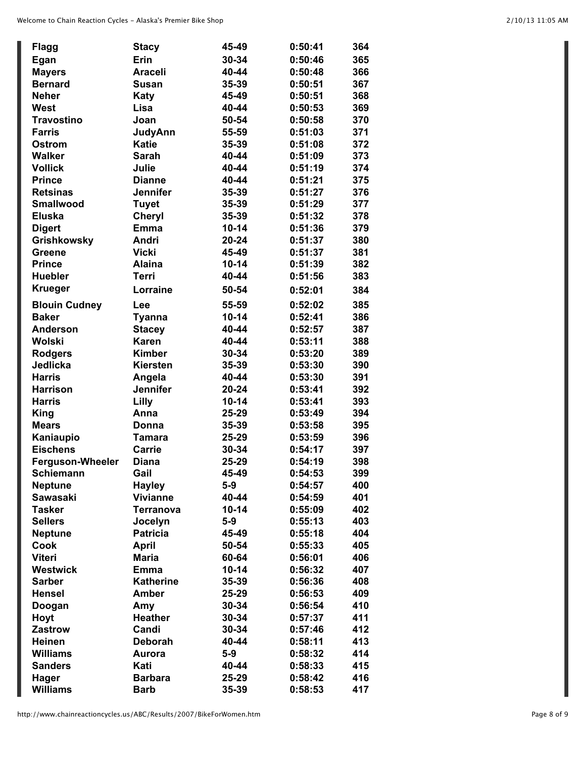| <b>Flagg</b>            | <b>Stacy</b>     | 45-49     | 0:50:41 | 364 |
|-------------------------|------------------|-----------|---------|-----|
| Egan                    | Erin             | 30-34     | 0:50:46 | 365 |
| <b>Mayers</b>           | <b>Araceli</b>   | 40-44     | 0:50:48 | 366 |
| <b>Bernard</b>          | Susan            | 35-39     | 0:50:51 | 367 |
| <b>Neher</b>            | <b>Katy</b>      | 45-49     | 0:50:51 | 368 |
| <b>West</b>             | Lisa             | 40-44     | 0:50:53 | 369 |
| <b>Travostino</b>       | Joan             | 50-54     | 0:50:58 | 370 |
| <b>Farris</b>           | <b>JudyAnn</b>   | 55-59     | 0:51:03 | 371 |
| <b>Ostrom</b>           | <b>Katie</b>     | 35-39     | 0:51:08 | 372 |
| <b>Walker</b>           | <b>Sarah</b>     | 40-44     | 0:51:09 | 373 |
| <b>Vollick</b>          | Julie            | 40-44     | 0:51:19 | 374 |
| <b>Prince</b>           | <b>Dianne</b>    | 40-44     | 0:51:21 | 375 |
| <b>Retsinas</b>         | Jennifer         | 35-39     | 0:51:27 | 376 |
| <b>Smallwood</b>        | <b>Tuyet</b>     | 35-39     | 0:51:29 | 377 |
| <b>Eluska</b>           | Cheryl           | 35-39     | 0:51:32 | 378 |
| <b>Digert</b>           | <b>Emma</b>      | $10 - 14$ | 0:51:36 | 379 |
| <b>Grishkowsky</b>      | Andri            | 20-24     | 0:51:37 | 380 |
| <b>Greene</b>           | <b>Vicki</b>     | 45-49     | 0:51:37 | 381 |
| <b>Prince</b>           | <b>Alaina</b>    | $10 - 14$ | 0:51:39 | 382 |
| <b>Huebler</b>          | <b>Terri</b>     | 40-44     | 0:51:56 | 383 |
| <b>Krueger</b>          | Lorraine         | 50-54     | 0:52:01 | 384 |
| <b>Blouin Cudney</b>    | Lee              | 55-59     | 0:52:02 | 385 |
| <b>Baker</b>            | <b>Tyanna</b>    | $10 - 14$ | 0:52:41 | 386 |
| <b>Anderson</b>         | <b>Stacey</b>    | 40-44     | 0:52:57 | 387 |
| Wolski                  | <b>Karen</b>     | 40-44     | 0:53:11 | 388 |
| <b>Rodgers</b>          | <b>Kimber</b>    | 30-34     | 0:53:20 | 389 |
| Jedlicka                | <b>Kiersten</b>  | 35-39     | 0:53:30 | 390 |
| <b>Harris</b>           | Angela           | 40-44     | 0:53:30 | 391 |
| <b>Harrison</b>         | <b>Jennifer</b>  | 20-24     | 0:53:41 | 392 |
| <b>Harris</b>           | Lilly            | $10 - 14$ | 0:53:41 | 393 |
| <b>King</b>             | Anna             | 25-29     | 0:53:49 | 394 |
| <b>Mears</b>            | Donna            | 35-39     | 0:53:58 | 395 |
| Kaniaupio               | <b>Tamara</b>    | 25-29     | 0:53:59 | 396 |
| <b>Eischens</b>         | <b>Carrie</b>    | 30-34     | 0:54:17 | 397 |
| <b>Ferguson-Wheeler</b> | <b>Diana</b>     | 25-29     | 0:54:19 | 398 |
| <b>Schiemann</b>        | Gail             | 45-49     | 0:54:53 | 399 |
| <b>Neptune</b>          | <b>Hayley</b>    | $5-9$     | 0:54:57 | 400 |
| <b>Sawasaki</b>         | <b>Vivianne</b>  | 40-44     | 0:54:59 | 401 |
| <b>Tasker</b>           | <b>Terranova</b> | $10 - 14$ | 0:55:09 | 402 |
| <b>Sellers</b>          | Jocelyn          | $5-9$     | 0:55:13 | 403 |
| <b>Neptune</b>          | <b>Patricia</b>  | 45-49     | 0:55:18 | 404 |
| Cook                    | <b>April</b>     | 50-54     | 0:55:33 | 405 |
| <b>Viteri</b>           | <b>Maria</b>     | 60-64     | 0:56:01 | 406 |
| <b>Westwick</b>         | <b>Emma</b>      | $10 - 14$ | 0:56:32 | 407 |
| <b>Sarber</b>           | <b>Katherine</b> | 35-39     | 0:56:36 | 408 |
| <b>Hensel</b>           | <b>Amber</b>     | 25-29     | 0:56:53 | 409 |
| Doogan                  | Amy              | 30-34     | 0:56:54 | 410 |
| Hoyt                    | <b>Heather</b>   | 30-34     | 0:57:37 | 411 |
| <b>Zastrow</b>          | Candi            | 30-34     | 0:57:46 | 412 |
| <b>Heinen</b>           | <b>Deborah</b>   | 40-44     | 0:58:11 | 413 |
| <b>Williams</b>         | Aurora           | $5-9$     | 0:58:32 | 414 |
| <b>Sanders</b>          | Kati             | 40-44     | 0:58:33 | 415 |
| Hager                   | <b>Barbara</b>   | 25-29     | 0:58:42 | 416 |
| <b>Williams</b>         | <b>Barb</b>      | 35-39     | 0:58:53 | 417 |